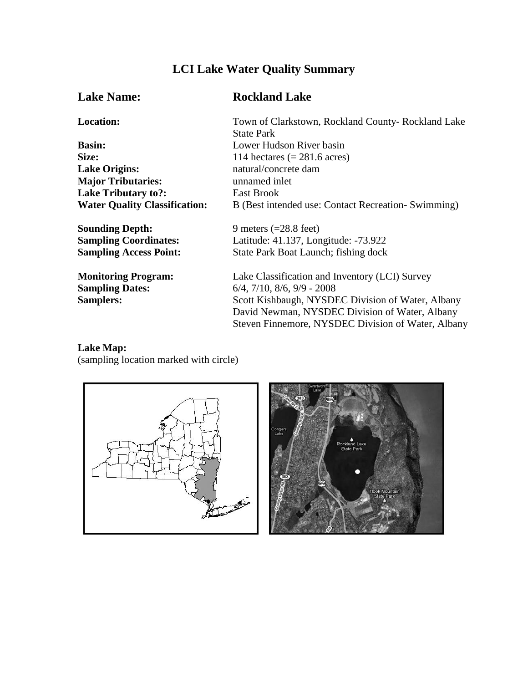# **LCI Lake Water Quality Summary**

**Basin:** Lower Hudson River basin<br>Size: 114 hectares (= 281.6 acres) **Lake Origins:** natural/concrete dam **Major Tributaries:** unnamed inlet **Lake Tributary to?:** East Brook

**Sounding Depth:** 9 meters (=28.8 feet)

## **Lake Name: Rockland Lake**

**Location:** Town of Clarkstown, Rockland County- Rockland Lake State Park 114 hectares  $(= 281.6 \text{ acres})$ Water Quality Classification: B (Best intended use: Contact Recreation- Swimming)

**Sampling Coordinates:** Latitude: 41.137, Longitude: -73.922 **Sampling Access Point:** State Park Boat Launch; fishing dock

**Monitoring Program:** Lake Classification and Inventory (LCI) Survey **Sampling Dates:** 6/4, 7/10, 8/6, 9/9 - 2008 Samplers: Scott Kishbaugh, NYSDEC Division of Water, Albany David Newman, NYSDEC Division of Water, Albany Steven Finnemore, NYSDEC Division of Water, Albany

#### **Lake Map:** (sampling location marked with circle)



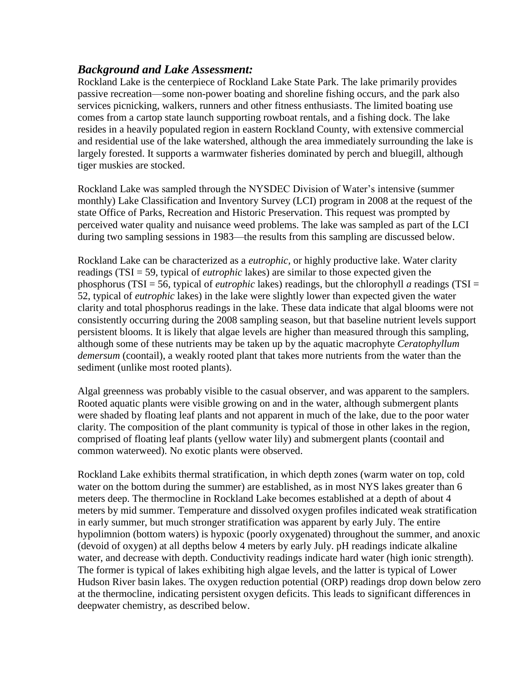# *Background and Lake Assessment:*

Rockland Lake is the centerpiece of Rockland Lake State Park. The lake primarily provides passive recreation—some non-power boating and shoreline fishing occurs, and the park also services picnicking, walkers, runners and other fitness enthusiasts. The limited boating use comes from a cartop state launch supporting rowboat rentals, and a fishing dock. The lake resides in a heavily populated region in eastern Rockland County, with extensive commercial and residential use of the lake watershed, although the area immediately surrounding the lake is largely forested. It supports a warmwater fisheries dominated by perch and bluegill, although tiger muskies are stocked.

Rockland Lake was sampled through the NYSDEC Division of Water's intensive (summer monthly) Lake Classification and Inventory Survey (LCI) program in 2008 at the request of the state Office of Parks, Recreation and Historic Preservation. This request was prompted by perceived water quality and nuisance weed problems. The lake was sampled as part of the LCI during two sampling sessions in 1983—the results from this sampling are discussed below.

Rockland Lake can be characterized as a *eutrophic,* or highly productive lake. Water clarity readings (TSI = 59, typical of *eutrophic* lakes) are similar to those expected given the phosphorus (TSI = 56, typical of *eutrophic* lakes) readings, but the chlorophyll *a* readings (TSI = 52, typical of *eutrophic* lakes) in the lake were slightly lower than expected given the water clarity and total phosphorus readings in the lake. These data indicate that algal blooms were not consistently occurring during the 2008 sampling season, but that baseline nutrient levels support persistent blooms. It is likely that algae levels are higher than measured through this sampling, although some of these nutrients may be taken up by the aquatic macrophyte *Ceratophyllum demersum* (coontail), a weakly rooted plant that takes more nutrients from the water than the sediment (unlike most rooted plants).

Algal greenness was probably visible to the casual observer, and was apparent to the samplers. Rooted aquatic plants were visible growing on and in the water, although submergent plants were shaded by floating leaf plants and not apparent in much of the lake, due to the poor water clarity. The composition of the plant community is typical of those in other lakes in the region, comprised of floating leaf plants (yellow water lily) and submergent plants (coontail and common waterweed). No exotic plants were observed.

Rockland Lake exhibits thermal stratification, in which depth zones (warm water on top, cold water on the bottom during the summer) are established, as in most NYS lakes greater than 6 meters deep. The thermocline in Rockland Lake becomes established at a depth of about 4 meters by mid summer. Temperature and dissolved oxygen profiles indicated weak stratification in early summer, but much stronger stratification was apparent by early July. The entire hypolimnion (bottom waters) is hypoxic (poorly oxygenated) throughout the summer, and anoxic (devoid of oxygen) at all depths below 4 meters by early July. pH readings indicate alkaline water, and decrease with depth. Conductivity readings indicate hard water (high ionic strength). The former is typical of lakes exhibiting high algae levels, and the latter is typical of Lower Hudson River basin lakes. The oxygen reduction potential (ORP) readings drop down below zero at the thermocline, indicating persistent oxygen deficits. This leads to significant differences in deepwater chemistry, as described below.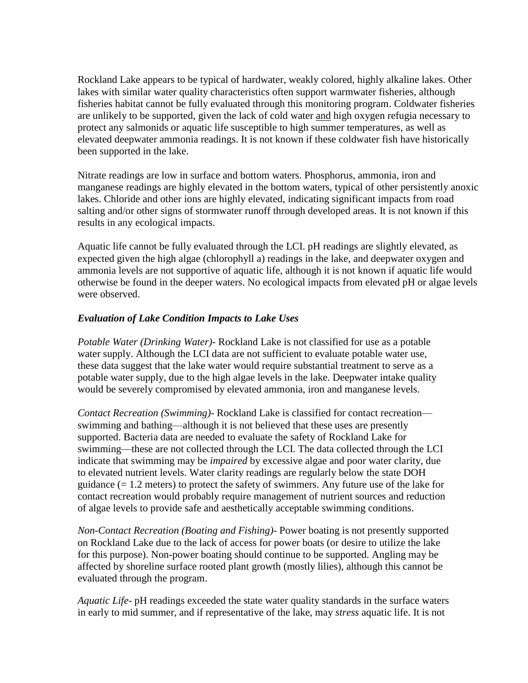Rockland Lake appears to be typical of hardwater, weakly colored, highly alkaline lakes. Other lakes with similar water quality characteristics often support warmwater fisheries, although fisheries habitat cannot be fully evaluated through this monitoring program. Coldwater fisheries are unlikely to be supported, given the lack of cold water and high oxygen refugia necessary to protect any salmonids or aquatic life susceptible to high summer temperatures, as well as elevated deepwater ammonia readings. It is not known if these coldwater fish have historically been supported in the lake.

Nitrate readings are low in surface and bottom waters. Phosphorus, ammonia, iron and manganese readings are highly elevated in the bottom waters, typical of other persistently anoxic lakes. Chloride and other ions are highly elevated, indicating significant impacts from road salting and/or other signs of stormwater runoff through developed areas. It is not known if this results in any ecological impacts.

Aquatic life cannot be fully evaluated through the LCI. pH readings are slightly elevated, as expected given the high algae (chlorophyll a) readings in the lake, and deepwater oxygen and ammonia levels are not supportive of aquatic life, although it is not known if aquatic life would otherwise be found in the deeper waters. No ecological impacts from elevated pH or algae levels were observed.

### *Evaluation of Lake Condition Impacts to Lake Uses*

*Potable Water (Drinking Water)*- Rockland Lake is not classified for use as a potable water supply. Although the LCI data are not sufficient to evaluate potable water use, these data suggest that the lake water would require substantial treatment to serve as a potable water supply, due to the high algae levels in the lake. Deepwater intake quality would be severely compromised by elevated ammonia, iron and manganese levels.

*Contact Recreation (Swimming)-* Rockland Lake is classified for contact recreation swimming and bathing—although it is not believed that these uses are presently supported. Bacteria data are needed to evaluate the safety of Rockland Lake for swimming—these are not collected through the LCI. The data collected through the LCI indicate that swimming may be *impaired* by excessive algae and poor water clarity, due to elevated nutrient levels. Water clarity readings are regularly below the state DOH guidance  $(= 1.2 \text{ meters})$  to protect the safety of swimmers. Any future use of the lake for contact recreation would probably require management of nutrient sources and reduction of algae levels to provide safe and aesthetically acceptable swimming conditions.

*Non-Contact Recreation (Boating and Fishing)*- Power boating is not presently supported on Rockland Lake due to the lack of access for power boats (or desire to utilize the lake for this purpose). Non-power boating should continue to be supported. Angling may be affected by shoreline surface rooted plant growth (mostly lilies), although this cannot be evaluated through the program.

*Aquatic Life*- pH readings exceeded the state water quality standards in the surface waters in early to mid summer, and if representative of the lake, may *stress* aquatic life. It is not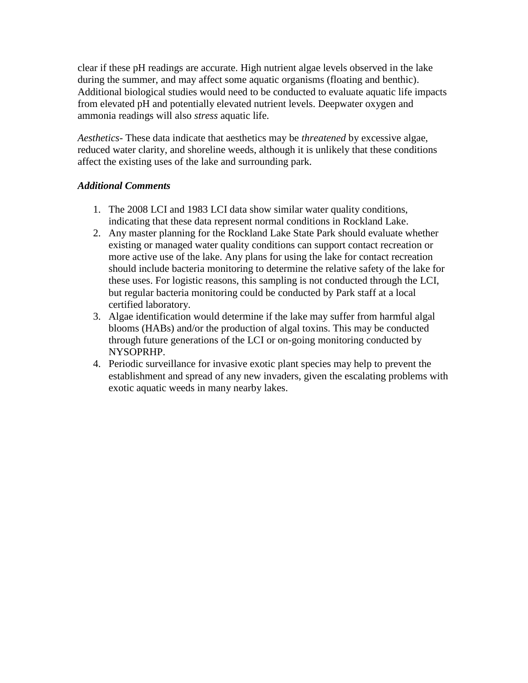clear if these pH readings are accurate. High nutrient algae levels observed in the lake during the summer, and may affect some aquatic organisms (floating and benthic). Additional biological studies would need to be conducted to evaluate aquatic life impacts from elevated pH and potentially elevated nutrient levels. Deepwater oxygen and ammonia readings will also *stress* aquatic life.

*Aesthetics*- These data indicate that aesthetics may be *threatened* by excessive algae, reduced water clarity, and shoreline weeds, although it is unlikely that these conditions affect the existing uses of the lake and surrounding park.

#### *Additional Comments*

- 1. The 2008 LCI and 1983 LCI data show similar water quality conditions, indicating that these data represent normal conditions in Rockland Lake.
- 2. Any master planning for the Rockland Lake State Park should evaluate whether existing or managed water quality conditions can support contact recreation or more active use of the lake. Any plans for using the lake for contact recreation should include bacteria monitoring to determine the relative safety of the lake for these uses. For logistic reasons, this sampling is not conducted through the LCI, but regular bacteria monitoring could be conducted by Park staff at a local certified laboratory.
- 3. Algae identification would determine if the lake may suffer from harmful algal blooms (HABs) and/or the production of algal toxins. This may be conducted through future generations of the LCI or on-going monitoring conducted by NYSOPRHP.
- 4. Periodic surveillance for invasive exotic plant species may help to prevent the establishment and spread of any new invaders, given the escalating problems with exotic aquatic weeds in many nearby lakes.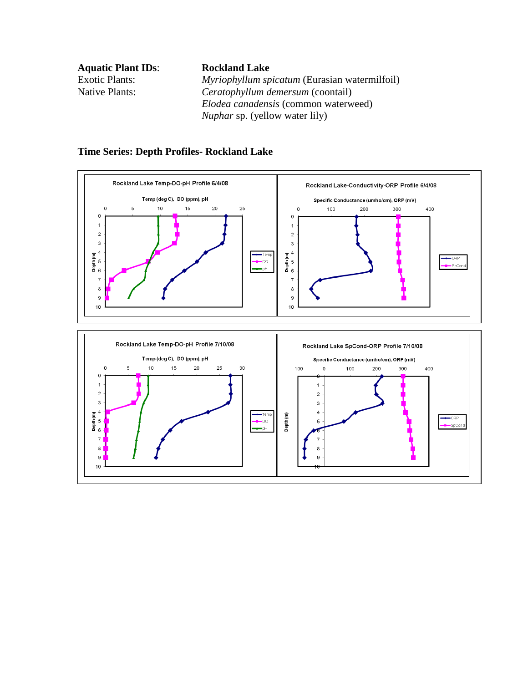**Aquatic Plant IDs**: **Rockland Lake**

Exotic Plants: *Myriophyllum spicatum* (Eurasian watermilfoil) Native Plants: *Ceratophyllum demersum* (coontail) *Elodea canadensis* (common waterweed) *Nuphar* sp. (yellow water lily)



#### **Time Series: Depth Profiles- Rockland Lake**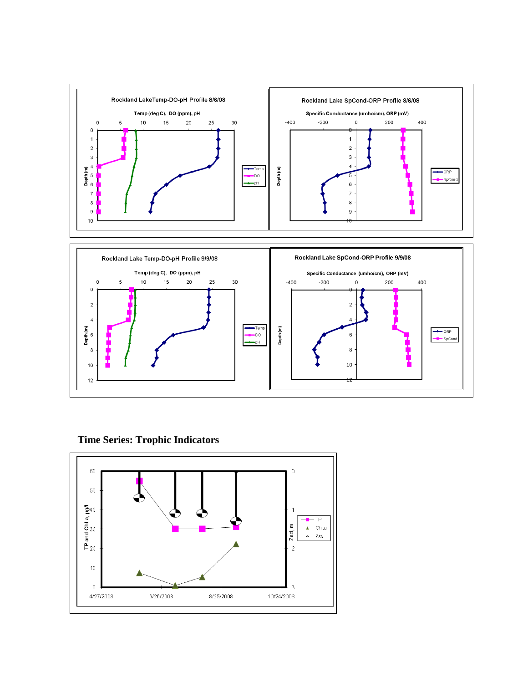

**Time Series: Trophic Indicators**

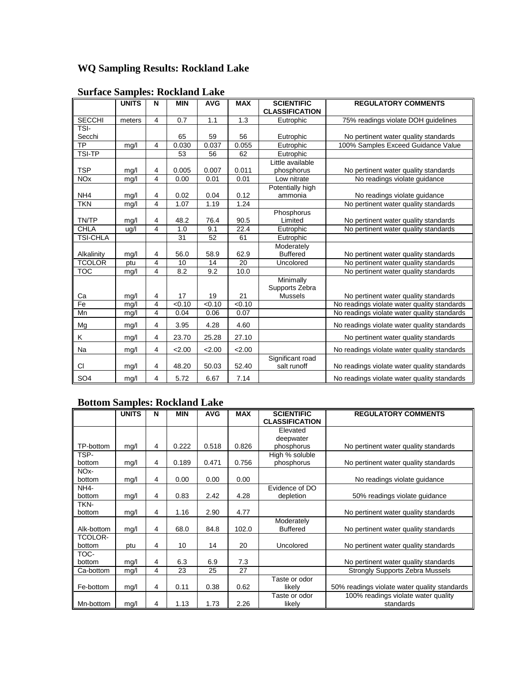# **WQ Sampling Results: Rockland Lake**

|                       | <b>UNITS</b> | N              | <b>MIN</b> | <b>AVG</b> | <b>MAX</b>         | <b>SCIENTIFIC</b>           | <b>REGULATORY COMMENTS</b>                  |
|-----------------------|--------------|----------------|------------|------------|--------------------|-----------------------------|---------------------------------------------|
|                       |              |                |            |            |                    | <b>CLASSIFICATION</b>       |                                             |
| <b>SECCHI</b>         | meters       | $\overline{4}$ | 0.7        | 1.1        | 1.3                | Eutrophic                   | 75% readings violate DOH guidelines         |
| <b>TSI-</b>           |              |                |            |            |                    |                             |                                             |
| Secchi                |              |                | 65         | 59         | 56                 | Eutrophic                   | No pertinent water quality standards        |
| <b>TP</b>             | mg/l         | $\overline{4}$ | 0.030      | 0.037      | 0.055              | Eutrophic                   | 100% Samples Exceed Guidance Value          |
| TSI-TP                |              |                | 53         | 56         | 62                 | Eutrophic                   |                                             |
|                       |              |                |            |            |                    | Little available            |                                             |
| <b>TSP</b>            | mg/l         | 4              | 0.005      | 0.007      | 0.011              | phosphorus                  | No pertinent water quality standards        |
| <b>NO<sub>x</sub></b> | mg/l         | $\overline{4}$ | 0.00       | 0.01       | 0.01               | Low nitrate                 | No readings violate guidance                |
|                       |              |                |            |            |                    | Potentially high            |                                             |
| NH <sub>4</sub>       | mg/l         | 4              | 0.02       | 0.04       | 0.12               | ammonia                     | No readings violate guidance                |
| <b>TKN</b>            | mg/l         | $\overline{4}$ | 1.07       | 1.19       | 1.24               |                             | No pertinent water quality standards        |
|                       |              |                |            |            |                    | Phosphorus                  |                                             |
| <b>TN/TP</b>          | mg/l         | $\overline{4}$ | 48.2       | 76.4       | 90.5               | Limited                     | No pertinent water quality standards        |
| <b>CHLA</b>           | ug/l         | $\overline{4}$ | 1.0        | 9.1        | $\overline{2}$ 2.4 | Eutrophic                   | No pertinent water quality standards        |
| <b>TSI-CHLA</b>       |              |                | 31         | 52         | 61                 | Eutrophic                   |                                             |
|                       |              |                |            |            |                    | Moderately                  |                                             |
| Alkalinity            | mg/l         | 4              | 56.0       | 58.9       | 62.9               | <b>Buffered</b>             | No pertinent water quality standards        |
| <b>TCOLOR</b>         | ptu          | 4              | 10         | 14         | 20                 | Uncolored                   | No pertinent water quality standards        |
| TOC                   | mg/l         | $\overline{4}$ | 8.2        | 9.2        | 10.0               |                             | No pertinent water quality standards        |
|                       |              |                |            |            |                    | Minimally<br>Supports Zebra |                                             |
| Ca                    | mg/l         | $\overline{4}$ | 17         | 19         | 21                 | <b>Mussels</b>              | No pertinent water quality standards        |
| Fe                    | mg/l         | $\overline{4}$ | < 0.10     | < 0.10     | < 0.10             |                             | No readings violate water quality standards |
| Mn                    | mg/l         | $\overline{4}$ | 0.04       | 0.06       | 0.07               |                             | No readings violate water quality standards |
|                       |              |                |            |            |                    |                             |                                             |
| Mg                    | mg/l         | 4              | 3.95       | 4.28       | 4.60               |                             | No readings violate water quality standards |
| Κ                     | mg/l         | $\overline{4}$ | 23.70      | 25.28      | 27.10              |                             | No pertinent water quality standards        |
| Na                    | mg/l         | $\overline{4}$ | 2.00       | 2.00       | 2.00               |                             | No readings violate water quality standards |
|                       |              |                |            |            |                    | Significant road            |                                             |
| <b>CI</b>             | mg/l         | $\overline{4}$ | 48.20      | 50.03      | 52.40              | salt runoff                 | No readings violate water quality standards |
| SO <sub>4</sub>       | mg/l         | 4              | 5.72       | 6.67       | 7.14               |                             | No readings violate water quality standards |

### **Surface Samples: Rockland Lake**

# **Bottom Samples: Rockland Lake**

|                             | <b>UNITS</b> | N | <b>MIN</b> | <b>AVG</b> | <b>MAX</b> | <b>SCIENTIFIC</b><br><b>CLASSIFICATION</b> | <b>REGULATORY COMMENTS</b>                       |
|-----------------------------|--------------|---|------------|------------|------------|--------------------------------------------|--------------------------------------------------|
|                             |              |   |            |            |            | Elevated                                   |                                                  |
|                             |              |   |            |            |            | deepwater                                  |                                                  |
| TP-bottom                   | mg/l         | 4 | 0.222      | 0.518      | 0.826      | phosphorus                                 | No pertinent water quality standards             |
| TSP-                        |              |   |            |            |            | High % soluble                             |                                                  |
| bottom                      | mg/l         | 4 | 0.189      | 0.471      | 0.756      | phosphorus                                 | No pertinent water quality standards             |
| NO <sub>x</sub> -<br>bottom | mg/l         | 4 | 0.00       | 0.00       | 0.00       |                                            | No readings violate quidance                     |
| NH <sub>4</sub> -           |              |   |            |            |            | Evidence of DO                             |                                                  |
| bottom                      | mg/l         | 4 | 0.83       | 2.42       | 4.28       | depletion                                  | 50% readings violate guidance                    |
| TKN-                        |              |   |            |            |            |                                            |                                                  |
| bottom                      | mg/l         | 4 | 1.16       | 2.90       | 4.77       |                                            | No pertinent water quality standards             |
| Alk-bottom                  | mg/l         | 4 | 68.0       | 84.8       | 102.0      | Moderately<br><b>Buffered</b>              | No pertinent water quality standards             |
| <b>TCOLOR-</b>              |              |   |            |            |            |                                            |                                                  |
| bottom                      | ptu          | 4 | 10         | 14         | 20         | Uncolored                                  | No pertinent water quality standards             |
| TOC-                        |              |   |            |            |            |                                            |                                                  |
| bottom                      | mg/l         | 4 | 6.3        | 6.9        | 7.3        |                                            | No pertinent water quality standards             |
| Ca-bottom                   | mg/l         | 4 | 23         | 25         | 27         |                                            | <b>Strongly Supports Zebra Mussels</b>           |
|                             |              |   |            |            |            | Taste or odor                              |                                                  |
| Fe-bottom                   | mg/l         | 4 | 0.11       | 0.38       | 0.62       | likely                                     | 50% readings violate water quality standards     |
| Mn-bottom                   | mg/l         | 4 | 1.13       | 1.73       | 2.26       | Taste or odor<br>likely                    | 100% readings violate water quality<br>standards |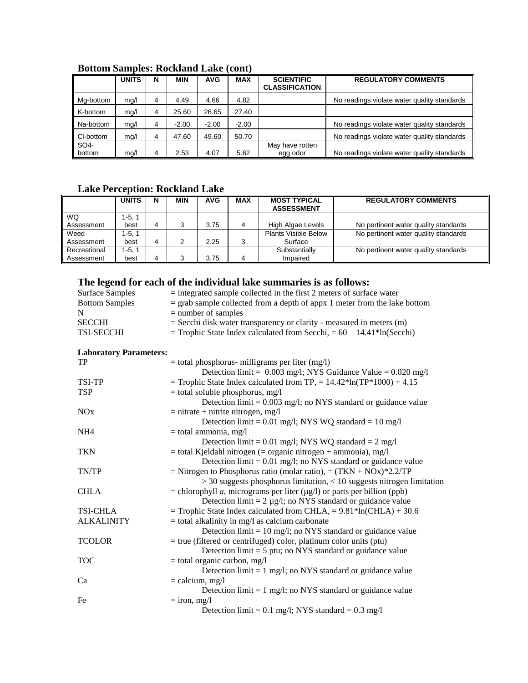|           | <b>UNITS</b> | N | <b>MIN</b> | <b>AVG</b> | <b>MAX</b> | <b>SCIENTIFIC</b><br><b>CLASSIFICATION</b> | <b>REGULATORY COMMENTS</b>                  |
|-----------|--------------|---|------------|------------|------------|--------------------------------------------|---------------------------------------------|
| Mg-bottom | mq/l         | 4 | 4.49       | 4.66       | 4.82       |                                            | No readings violate water quality standards |
| K-bottom  | mq/l         | 4 | 25.60      | 26.65      | 27.40      |                                            |                                             |
| Na-bottom | mq/l         | 4 | $-2.00$    | $-2.00$    | $-2.00$    |                                            | No readings violate water quality standards |
| CI-bottom | mg/l         | 4 | 47.60      | 49.60      | 50.70      |                                            | No readings violate water quality standards |
| SO4-      |              |   |            |            |            | May have rotten                            |                                             |
| bottom    | mg/l         | 4 | 2.53       | 4.07       | 5.62       | egg odor                                   | No readings violate water quality standards |

### **Bottom Samples: Rockland Lake (cont)**

# **Lake Perception: Rockland Lake**

|              | <b>UNITS</b> | N | <b>MIN</b> | <b>AVG</b> | <b>MAX</b> | <b>MOST TYPICAL</b><br><b>ASSESSMENT</b> | <b>REGULATORY COMMENTS</b>           |
|--------------|--------------|---|------------|------------|------------|------------------------------------------|--------------------------------------|
| <b>WQ</b>    | 1-5.1        |   |            |            |            |                                          |                                      |
| Assessment   | best         | 4 |            | 3.75       |            | High Algae Levels                        | No pertinent water quality standards |
| Weed         | $1-5.1$      |   |            |            |            | <b>Plants Visible Below</b>              | No pertinent water quality standards |
| Assessment   | best         | 4 |            | 2.25       | ີ          | Surface                                  |                                      |
| Recreational | $1-5.1$      |   |            |            |            | Substantially                            | No pertinent water quality standards |
| Assessment   | best         | 4 |            | 3.75       |            | Impaired                                 |                                      |

# **The legend for each of the individual lake summaries is as follows:**

| Surface Samples       | $=$ integrated sample collected in the first 2 meters of surface water                 |
|-----------------------|----------------------------------------------------------------------------------------|
| <b>Bottom Samples</b> | $=$ grab sample collected from a depth of appx 1 meter from the lake bottom            |
| N                     | $=$ number of samples                                                                  |
| <b>SECCHI</b>         | $=$ Secchi disk water transparency or clarity - measured in meters (m)                 |
| <b>TSI-SECCHI</b>     | $=$ Trophic State Index calculated from Secchi, $= 60 - 14.41$ <sup>*</sup> ln(Secchi) |

#### **Laboratory Parameters:**

| TP                    | $=$ total phosphorus- milligrams per liter (mg/l)                                    |
|-----------------------|--------------------------------------------------------------------------------------|
|                       | Detection limit = $0.003$ mg/l; NYS Guidance Value = $0.020$ mg/l                    |
| TSI-TP                | = Trophic State Index calculated from TP, = $14.42*ln(TP*1000) + 4.15$               |
| <b>TSP</b>            | $=$ total soluble phosphorus, mg/l                                                   |
|                       | Detection $\lim_{t=0}$ = 0.003 mg/l; no NYS standard or guidance value               |
| <b>NO<sub>x</sub></b> | $=$ nitrate + nitrite nitrogen, mg/l                                                 |
|                       | Detection limit = $0.01$ mg/l; NYS WQ standard = $10$ mg/l                           |
| NH <sub>4</sub>       | $=$ total ammonia, mg/l                                                              |
|                       | Detection limit = $0.01$ mg/l; NYS WQ standard = $2$ mg/l                            |
| <b>TKN</b>            | $=$ total Kjeldahl nitrogen ( $=$ organic nitrogen $+$ ammonia), mg/l                |
|                       | Detection $\lim_{t=0} 0.01$ mg/l; no NYS standard or guidance value                  |
| TN/TP                 | = Nitrogen to Phosphorus ratio (molar ratio), = $(TKN + NOx)*2.2/TP$                 |
|                       | $>$ 30 suggests phosphorus limitation, $<$ 10 suggests nitrogen limitation           |
| <b>CHLA</b>           | = chlorophyll <i>a</i> , micrograms per liter $(\mu g/l)$ or parts per billion (ppb) |
|                       | Detection $\text{limit} = 2 \mu g/l$ ; no NYS standard or guidance value             |
| <b>TSI-CHLA</b>       | = Trophic State Index calculated from CHLA, = $9.81*ln(CHLA) + 30.6$                 |
| <b>ALKALINITY</b>     | $=$ total alkalinity in mg/l as calcium carbonate                                    |
|                       | Detection $\text{limit} = 10 \text{ mg/l}$ ; no NYS standard or guidance value       |
| <b>TCOLOR</b>         | $=$ true (filtered or centrifuged) color, platinum color units (ptu)                 |
|                       | Detection $\text{limit} = 5 \text{ ptu}$ ; no NYS standard or guidance value         |
| <b>TOC</b>            | $=$ total organic carbon, mg/l                                                       |
|                       | Detection $\lim_{t=1}$ mg/l; no NYS standard or guidance value                       |
| Ca                    | $=$ calcium, mg/l                                                                    |
|                       | Detection $\lim_{t=1}$ mg/l; no NYS standard or guidance value                       |
| Fe                    | $=$ iron, mg/l                                                                       |
|                       | Detection limit = $0.1$ mg/l; NYS standard = $0.3$ mg/l                              |